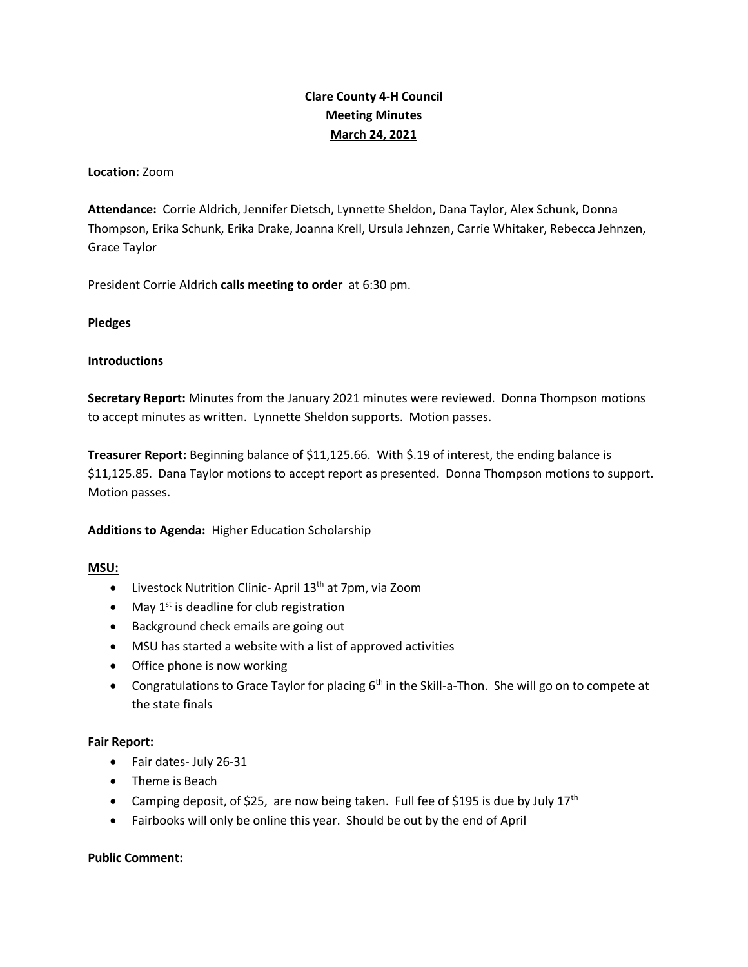# **Clare County 4-H Council Meeting Minutes March 24, 2021**

#### **Location:** Zoom

**Attendance:** Corrie Aldrich, Jennifer Dietsch, Lynnette Sheldon, Dana Taylor, Alex Schunk, Donna Thompson, Erika Schunk, Erika Drake, Joanna Krell, Ursula Jehnzen, Carrie Whitaker, Rebecca Jehnzen, Grace Taylor

President Corrie Aldrich **calls meeting to order** at 6:30 pm.

### **Pledges**

### **Introductions**

**Secretary Report:** Minutes from the January 2021 minutes were reviewed. Donna Thompson motions to accept minutes as written. Lynnette Sheldon supports. Motion passes.

**Treasurer Report:** Beginning balance of \$11,125.66. With \$.19 of interest, the ending balance is \$11,125.85. Dana Taylor motions to accept report as presented. Donna Thompson motions to support. Motion passes.

## **Additions to Agenda:** Higher Education Scholarship

### **MSU:**

- Livestock Nutrition Clinic- April 13<sup>th</sup> at 7pm, via Zoom
- $\bullet$  May 1<sup>st</sup> is deadline for club registration
- Background check emails are going out
- MSU has started a website with a list of approved activities
- Office phone is now working
- Congratulations to Grace Taylor for placing  $6<sup>th</sup>$  in the Skill-a-Thon. She will go on to compete at the state finals

### **Fair Report:**

- Fair dates- July 26-31
- Theme is Beach
- Camping deposit, of \$25, are now being taken. Full fee of \$195 is due by July  $17<sup>th</sup>$
- Fairbooks will only be online this year. Should be out by the end of April

### **Public Comment:**